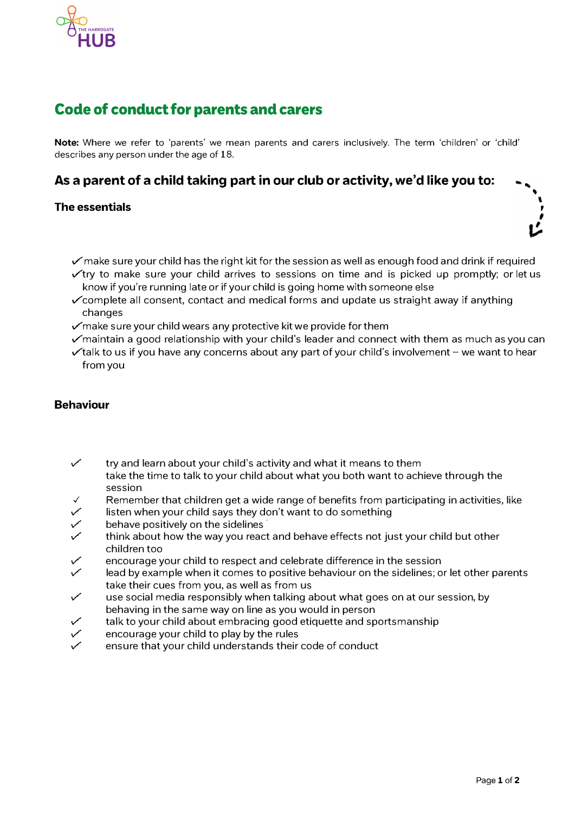

# Code of conduct for parents and carers

**Note:** Where we refer to 'parents' we mean parents and carers inclusively. The term 'children' or 'child' describes any person under the age of 18.

**As a parent of a child taking part in our club or activity, we'd like you to:** 

### **The essentials**

- $\checkmark$  make sure your child has the right kit for the session as well as enough food and drink if required
- $\checkmark$ try to make sure your child arrives to sessions on time and is picked up promptly; or let us know if you're running late or if your child is going home with someone else
- $\checkmark$  complete all consent, contact and medical forms and update us straight away if anything changes
- $\mathcal{S}$  make sure your child wears any protective kit we provide for them
- $\checkmark$  maintain a good relationship with your child's leader and connect with them as much as you can
- $\checkmark$  talk to us if you have any concerns about any part of your child's involvement we want to hear from you

### **Behaviour**

- ✓ try and learn about your child's activity and what it means to them take the time to talk to your child about what you both want to achieve through the session
- $\checkmark$  Remember that children get a wide range of benefits from participating in activities, like  $\checkmark$  listen when your child says they don't want to do something
- $\checkmark$  listen when your child says they don't want to do something<br> $\checkmark$  behave positively on the sidelines
- $\checkmark$  behave positively on the sidelines<br> $\checkmark$  think about how the way you react
- think about how the way you react and behave effects not just your child but other children too
- encourage your child to respect and celebrate difference in the session
- lead by example when it comes to positive behaviour on the sidelines; or let other parents take their cues from you, as well as from us<br>use social media responsibly when talking a
- use social media responsibly when talking about what goes on at our session, by behaving in the same way on line as you would in person
- $\checkmark$  talk to your child about embracing good etiquette and sportsmanship<br> $\checkmark$  encourage your child to play by the rules
- encourage your child to play by the rules
- ensure that your child understands their code of conduct